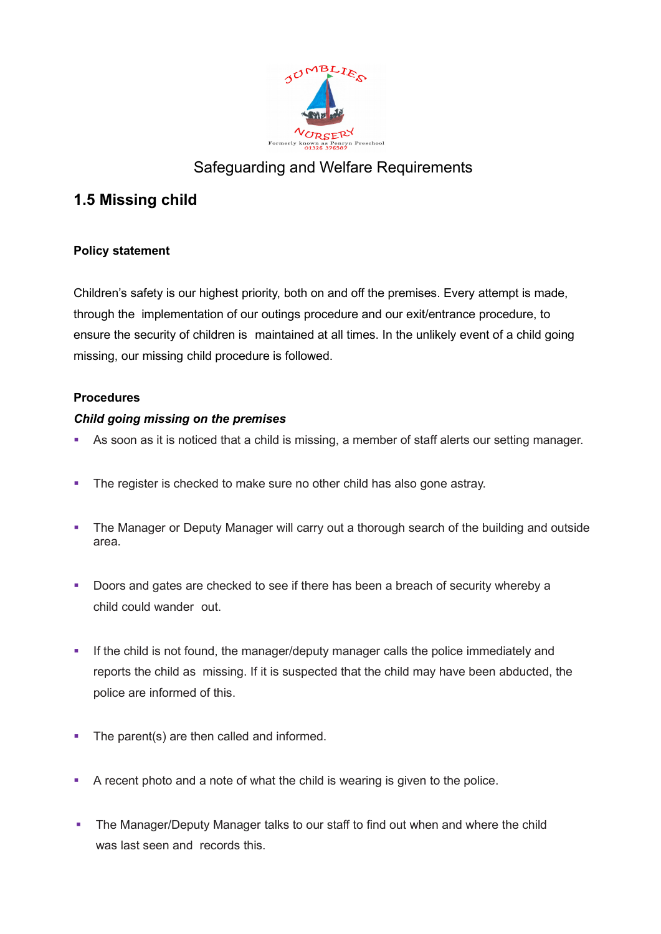

# Safeguarding and Welfare Requirements

## **1.5 Missing child**

## **Policy statement**

Children's safety is our highest priority, both on and off the premises. Every attempt is made, through the implementation of our outings procedure and our exit/entrance procedure, to ensure the security of children is maintained at all times. In the unlikely event of a child going missing, our missing child procedure is followed.

## **Procedures**

## *Child going missing on the premises*

- As soon as it is noticed that a child is missing, a member of staff alerts our setting manager.
- The register is checked to make sure no other child has also gone astray.
- The Manager or Deputy Manager will carry out a thorough search of the building and outside area.
- **Doors and gates are checked to see if there has been a breach of security whereby a** child could wander out.
- If the child is not found, the manager/deputy manager calls the police immediately and reports the child as missing. If it is suspected that the child may have been abducted, the police are informed of this.
- The parent(s) are then called and informed.
- A recent photo and a note of what the child is wearing is given to the police.
- The Manager/Deputy Manager talks to our staff to find out when and where the child was last seen and records this.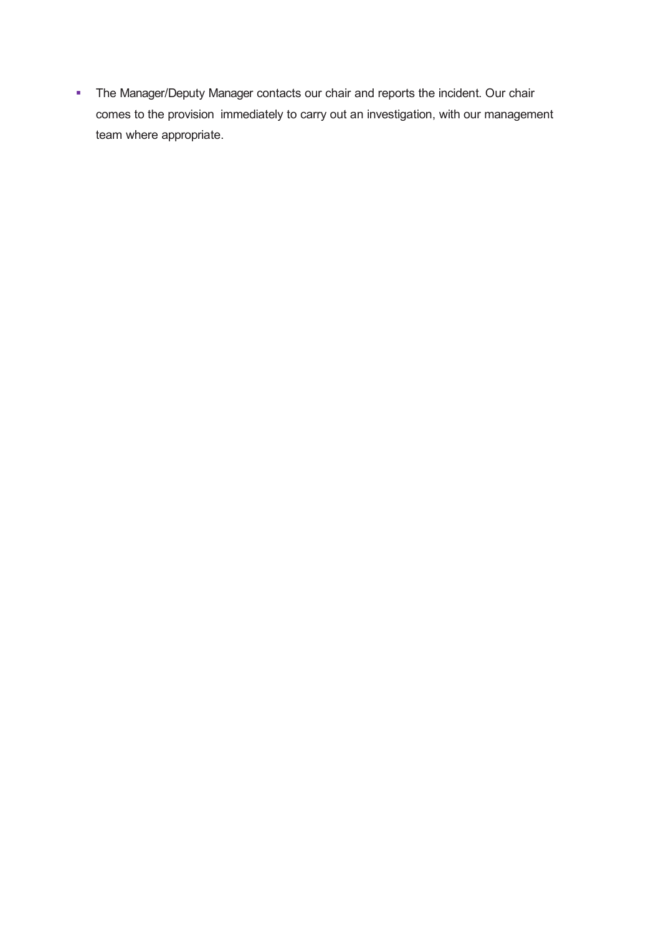The Manager/Deputy Manager contacts our chair and reports the incident. Our chair comes to the provision immediately to carry out an investigation, with our management team where appropriate.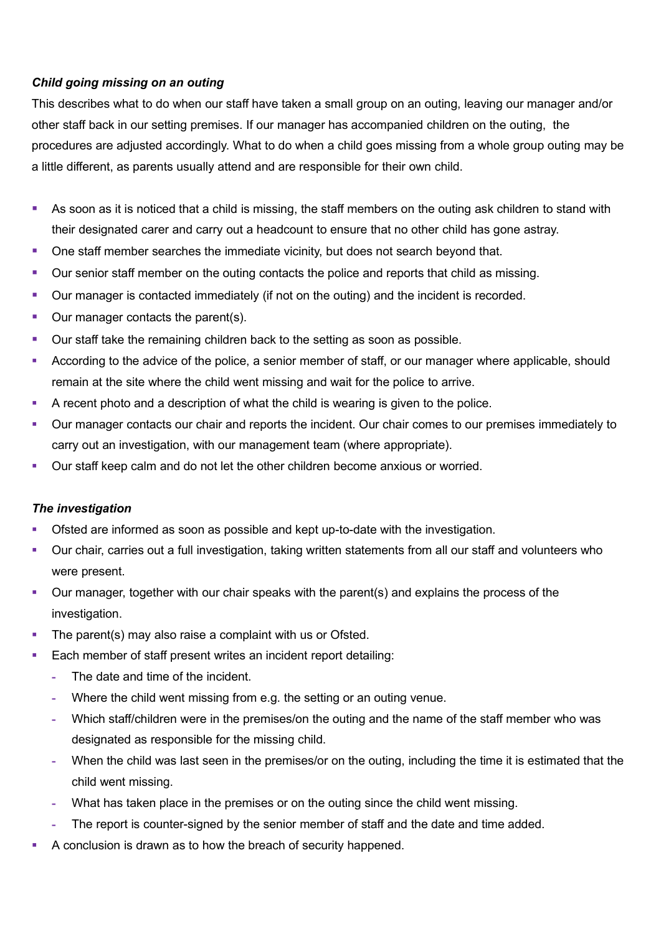#### *Child going missing on an outing*

This describes what to do when our staff have taken a small group on an outing, leaving our manager and/or other staff back in our setting premises. If our manager has accompanied children on the outing, the procedures are adjusted accordingly. What to do when a child goes missing from a whole group outing may be a little different, as parents usually attend and are responsible for their own child.

- As soon as it is noticed that a child is missing, the staff members on the outing ask children to stand with their designated carer and carry out a headcount to ensure that no other child has gone astray.
- One staff member searches the immediate vicinity, but does not search beyond that.
- Our senior staff member on the outing contacts the police and reports that child as missing.
- Our manager is contacted immediately (if not on the outing) and the incident is recorded.
- Our manager contacts the parent(s).
- Our staff take the remaining children back to the setting as soon as possible.
- According to the advice of the police, a senior member of staff, or our manager where applicable, should remain at the site where the child went missing and wait for the police to arrive.
- A recent photo and a description of what the child is wearing is given to the police.
- Our manager contacts our chair and reports the incident. Our chair comes to our premises immediately to carry out an investigation, with our management team (where appropriate).
- Our staff keep calm and do not let the other children become anxious or worried.

#### *The investigation*

- Ofsted are informed as soon as possible and kept up-to-date with the investigation.
- Our chair, carries out a full investigation, taking written statements from all our staff and volunteers who were present.
- Our manager, together with our chair speaks with the parent(s) and explains the process of the investigation.
- The parent(s) may also raise a complaint with us or Ofsted.
- **Each member of staff present writes an incident report detailing:** 
	- **-** The date and time of the incident.
	- **-** Where the child went missing from e.g. the setting or an outing venue.
	- **-** Which staff/children were in the premises/on the outing and the name of the staff member who was designated as responsible for the missing child.
	- **-** When the child was last seen in the premises/or on the outing, including the time it is estimated that the child went missing.
	- **-** What has taken place in the premises or on the outing since the child went missing.
	- **-** The report is counter-signed by the senior member of staff and the date and time added.
- A conclusion is drawn as to how the breach of security happened.